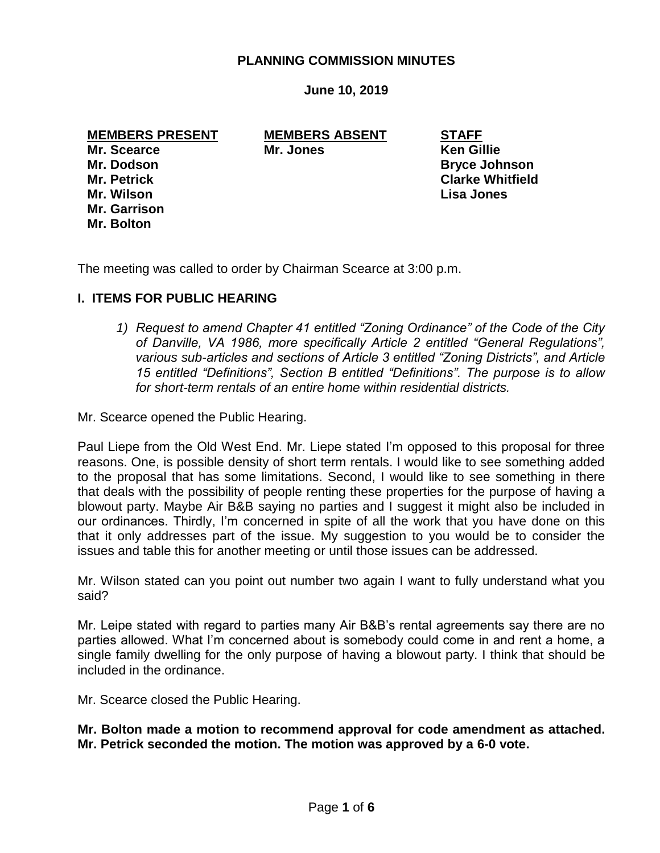### **PLANNING COMMISSION MINUTES**

**June 10, 2019**

**MEMBERS PRESENT MEMBERS ABSENT STAFF**

**Mr. Garrison Mr. Bolton**

**Mr. Scearce Mr. Jones Ken Gillie** 

**Mr. Dodson Bryce Johnson Mr. Petrick Clarke Whitfield Mr. Wilson Lisa Jones**

The meeting was called to order by Chairman Scearce at 3:00 p.m.

#### **I. ITEMS FOR PUBLIC HEARING**

*1) Request to amend Chapter 41 entitled "Zoning Ordinance" of the Code of the City of Danville, VA 1986, more specifically Article 2 entitled "General Regulations", various sub-articles and sections of Article 3 entitled "Zoning Districts", and Article 15 entitled "Definitions", Section B entitled "Definitions". The purpose is to allow for short-term rentals of an entire home within residential districts.*

Mr. Scearce opened the Public Hearing.

Paul Liepe from the Old West End. Mr. Liepe stated I'm opposed to this proposal for three reasons. One, is possible density of short term rentals. I would like to see something added to the proposal that has some limitations. Second, I would like to see something in there that deals with the possibility of people renting these properties for the purpose of having a blowout party. Maybe Air B&B saying no parties and I suggest it might also be included in our ordinances. Thirdly, I'm concerned in spite of all the work that you have done on this that it only addresses part of the issue. My suggestion to you would be to consider the issues and table this for another meeting or until those issues can be addressed.

Mr. Wilson stated can you point out number two again I want to fully understand what you said?

Mr. Leipe stated with regard to parties many Air B&B's rental agreements say there are no parties allowed. What I'm concerned about is somebody could come in and rent a home, a single family dwelling for the only purpose of having a blowout party. I think that should be included in the ordinance.

Mr. Scearce closed the Public Hearing.

**Mr. Bolton made a motion to recommend approval for code amendment as attached. Mr. Petrick seconded the motion. The motion was approved by a 6-0 vote.**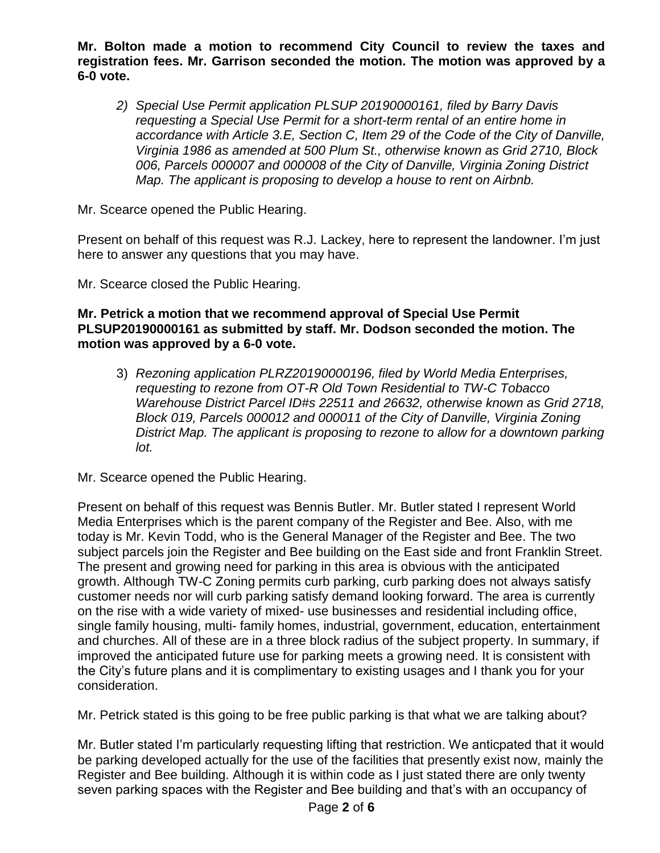**Mr. Bolton made a motion to recommend City Council to review the taxes and registration fees. Mr. Garrison seconded the motion. The motion was approved by a 6-0 vote.**

*2) Special Use Permit application PLSUP 20190000161, filed by Barry Davis requesting a Special Use Permit for a short-term rental of an entire home in accordance with Article 3.E, Section C, Item 29 of the Code of the City of Danville, Virginia 1986 as amended at 500 Plum St., otherwise known as Grid 2710, Block 006, Parcels 000007 and 000008 of the City of Danville, Virginia Zoning District Map. The applicant is proposing to develop a house to rent on Airbnb.*

Mr. Scearce opened the Public Hearing.

Present on behalf of this request was R.J. Lackey, here to represent the landowner. I'm just here to answer any questions that you may have.

Mr. Scearce closed the Public Hearing.

# **Mr. Petrick a motion that we recommend approval of Special Use Permit PLSUP20190000161 as submitted by staff. Mr. Dodson seconded the motion. The motion was approved by a 6-0 vote.**

3) *Rezoning application PLRZ20190000196, filed by World Media Enterprises, requesting to rezone from OT-R Old Town Residential to TW-C Tobacco Warehouse District Parcel ID#s 22511 and 26632, otherwise known as Grid 2718, Block 019, Parcels 000012 and 000011 of the City of Danville, Virginia Zoning District Map. The applicant is proposing to rezone to allow for a downtown parking lot.*

Mr. Scearce opened the Public Hearing.

Present on behalf of this request was Bennis Butler. Mr. Butler stated I represent World Media Enterprises which is the parent company of the Register and Bee. Also, with me today is Mr. Kevin Todd, who is the General Manager of the Register and Bee. The two subject parcels join the Register and Bee building on the East side and front Franklin Street. The present and growing need for parking in this area is obvious with the anticipated growth. Although TW-C Zoning permits curb parking, curb parking does not always satisfy customer needs nor will curb parking satisfy demand looking forward. The area is currently on the rise with a wide variety of mixed- use businesses and residential including office, single family housing, multi- family homes, industrial, government, education, entertainment and churches. All of these are in a three block radius of the subject property. In summary, if improved the anticipated future use for parking meets a growing need. It is consistent with the City's future plans and it is complimentary to existing usages and I thank you for your consideration.

Mr. Petrick stated is this going to be free public parking is that what we are talking about?

Mr. Butler stated I'm particularly requesting lifting that restriction. We anticpated that it would be parking developed actually for the use of the facilities that presently exist now, mainly the Register and Bee building. Although it is within code as I just stated there are only twenty seven parking spaces with the Register and Bee building and that's with an occupancy of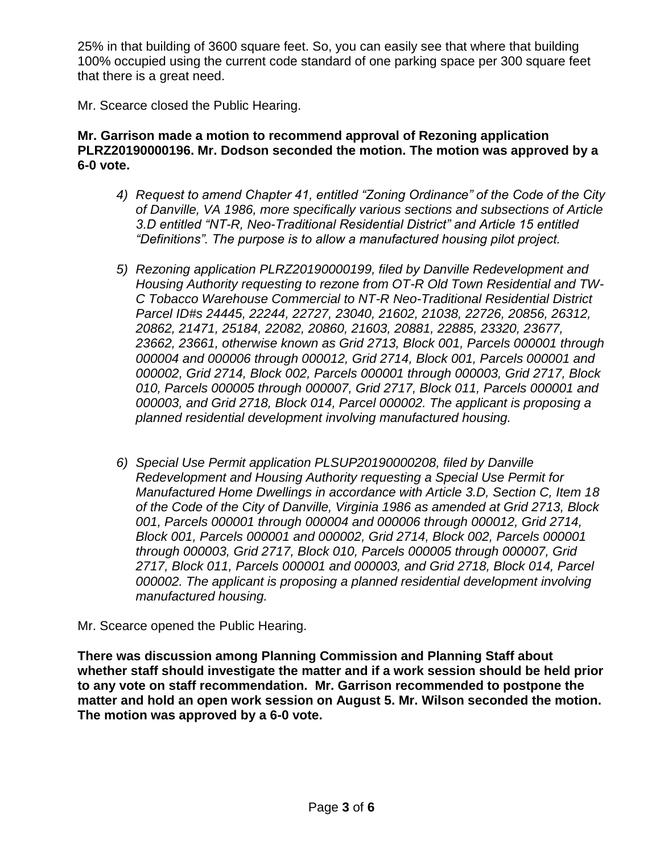25% in that building of 3600 square feet. So, you can easily see that where that building 100% occupied using the current code standard of one parking space per 300 square feet that there is a great need.

Mr. Scearce closed the Public Hearing.

# **Mr. Garrison made a motion to recommend approval of Rezoning application PLRZ20190000196. Mr. Dodson seconded the motion. The motion was approved by a 6-0 vote.**

- *4) Request to amend Chapter 41, entitled "Zoning Ordinance" of the Code of the City of Danville, VA 1986, more specifically various sections and subsections of Article 3.D entitled "NT-R, Neo-Traditional Residential District" and Article 15 entitled "Definitions". The purpose is to allow a manufactured housing pilot project.*
- *5) Rezoning application PLRZ20190000199, filed by Danville Redevelopment and Housing Authority requesting to rezone from OT-R Old Town Residential and TW-C Tobacco Warehouse Commercial to NT-R Neo-Traditional Residential District Parcel ID#s 24445, 22244, 22727, 23040, 21602, 21038, 22726, 20856, 26312, 20862, 21471, 25184, 22082, 20860, 21603, 20881, 22885, 23320, 23677, 23662, 23661, otherwise known as Grid 2713, Block 001, Parcels 000001 through 000004 and 000006 through 000012, Grid 2714, Block 001, Parcels 000001 and 000002, Grid 2714, Block 002, Parcels 000001 through 000003, Grid 2717, Block 010, Parcels 000005 through 000007, Grid 2717, Block 011, Parcels 000001 and 000003, and Grid 2718, Block 014, Parcel 000002. The applicant is proposing a planned residential development involving manufactured housing.*
- *6) Special Use Permit application PLSUP20190000208, filed by Danville Redevelopment and Housing Authority requesting a Special Use Permit for Manufactured Home Dwellings in accordance with Article 3.D, Section C, Item 18 of the Code of the City of Danville, Virginia 1986 as amended at Grid 2713, Block 001, Parcels 000001 through 000004 and 000006 through 000012, Grid 2714, Block 001, Parcels 000001 and 000002, Grid 2714, Block 002, Parcels 000001 through 000003, Grid 2717, Block 010, Parcels 000005 through 000007, Grid 2717, Block 011, Parcels 000001 and 000003, and Grid 2718, Block 014, Parcel 000002. The applicant is proposing a planned residential development involving manufactured housing.*

Mr. Scearce opened the Public Hearing.

**There was discussion among Planning Commission and Planning Staff about whether staff should investigate the matter and if a work session should be held prior to any vote on staff recommendation. Mr. Garrison recommended to postpone the matter and hold an open work session on August 5. Mr. Wilson seconded the motion. The motion was approved by a 6-0 vote.**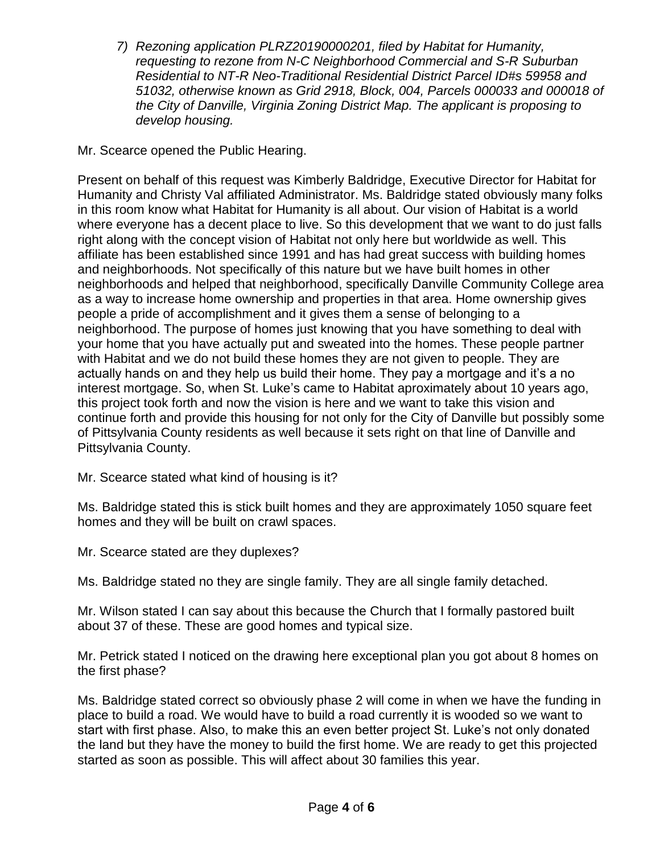*7) Rezoning application PLRZ20190000201, filed by Habitat for Humanity, requesting to rezone from N-C Neighborhood Commercial and S-R Suburban Residential to NT-R Neo-Traditional Residential District Parcel ID#s 59958 and 51032, otherwise known as Grid 2918, Block, 004, Parcels 000033 and 000018 of the City of Danville, Virginia Zoning District Map. The applicant is proposing to develop housing.*

# Mr. Scearce opened the Public Hearing.

Present on behalf of this request was Kimberly Baldridge, Executive Director for Habitat for Humanity and Christy Val affiliated Administrator. Ms. Baldridge stated obviously many folks in this room know what Habitat for Humanity is all about. Our vision of Habitat is a world where everyone has a decent place to live. So this development that we want to do just falls right along with the concept vision of Habitat not only here but worldwide as well. This affiliate has been established since 1991 and has had great success with building homes and neighborhoods. Not specifically of this nature but we have built homes in other neighborhoods and helped that neighborhood, specifically Danville Community College area as a way to increase home ownership and properties in that area. Home ownership gives people a pride of accomplishment and it gives them a sense of belonging to a neighborhood. The purpose of homes just knowing that you have something to deal with your home that you have actually put and sweated into the homes. These people partner with Habitat and we do not build these homes they are not given to people. They are actually hands on and they help us build their home. They pay a mortgage and it's a no interest mortgage. So, when St. Luke's came to Habitat aproximately about 10 years ago, this project took forth and now the vision is here and we want to take this vision and continue forth and provide this housing for not only for the City of Danville but possibly some of Pittsylvania County residents as well because it sets right on that line of Danville and Pittsylvania County.

Mr. Scearce stated what kind of housing is it?

Ms. Baldridge stated this is stick built homes and they are approximately 1050 square feet homes and they will be built on crawl spaces.

Mr. Scearce stated are they duplexes?

Ms. Baldridge stated no they are single family. They are all single family detached.

Mr. Wilson stated I can say about this because the Church that I formally pastored built about 37 of these. These are good homes and typical size.

Mr. Petrick stated I noticed on the drawing here exceptional plan you got about 8 homes on the first phase?

Ms. Baldridge stated correct so obviously phase 2 will come in when we have the funding in place to build a road. We would have to build a road currently it is wooded so we want to start with first phase. Also, to make this an even better project St. Luke's not only donated the land but they have the money to build the first home. We are ready to get this projected started as soon as possible. This will affect about 30 families this year.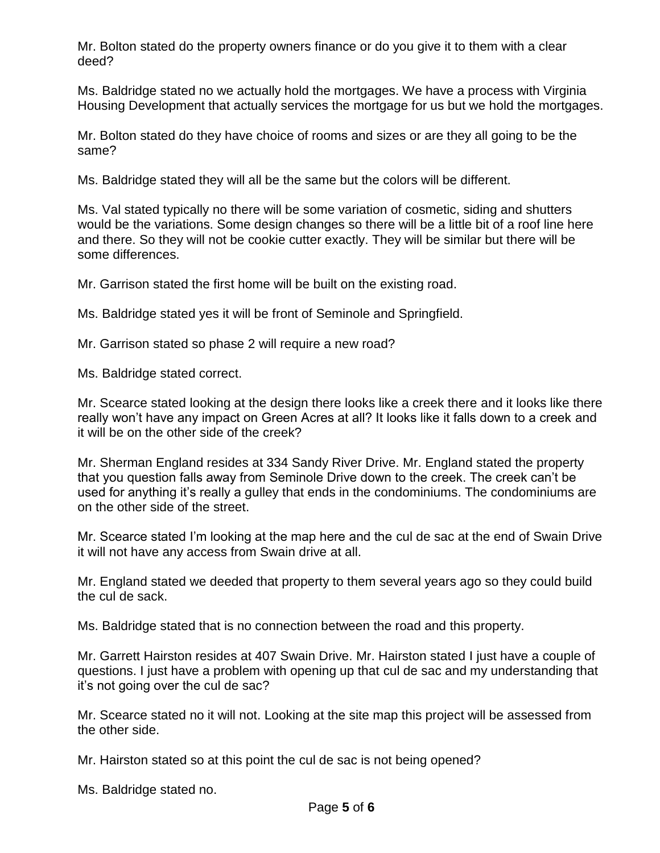Mr. Bolton stated do the property owners finance or do you give it to them with a clear deed?

Ms. Baldridge stated no we actually hold the mortgages. We have a process with Virginia Housing Development that actually services the mortgage for us but we hold the mortgages.

Mr. Bolton stated do they have choice of rooms and sizes or are they all going to be the same?

Ms. Baldridge stated they will all be the same but the colors will be different.

Ms. Val stated typically no there will be some variation of cosmetic, siding and shutters would be the variations. Some design changes so there will be a little bit of a roof line here and there. So they will not be cookie cutter exactly. They will be similar but there will be some differences.

Mr. Garrison stated the first home will be built on the existing road.

Ms. Baldridge stated yes it will be front of Seminole and Springfield.

Mr. Garrison stated so phase 2 will require a new road?

Ms. Baldridge stated correct.

Mr. Scearce stated looking at the design there looks like a creek there and it looks like there really won't have any impact on Green Acres at all? It looks like it falls down to a creek and it will be on the other side of the creek?

Mr. Sherman England resides at 334 Sandy River Drive. Mr. England stated the property that you question falls away from Seminole Drive down to the creek. The creek can't be used for anything it's really a gulley that ends in the condominiums. The condominiums are on the other side of the street.

Mr. Scearce stated I'm looking at the map here and the cul de sac at the end of Swain Drive it will not have any access from Swain drive at all.

Mr. England stated we deeded that property to them several years ago so they could build the cul de sack.

Ms. Baldridge stated that is no connection between the road and this property.

Mr. Garrett Hairston resides at 407 Swain Drive. Mr. Hairston stated I just have a couple of questions. I just have a problem with opening up that cul de sac and my understanding that it's not going over the cul de sac?

Mr. Scearce stated no it will not. Looking at the site map this project will be assessed from the other side.

Mr. Hairston stated so at this point the cul de sac is not being opened?

Ms. Baldridge stated no.